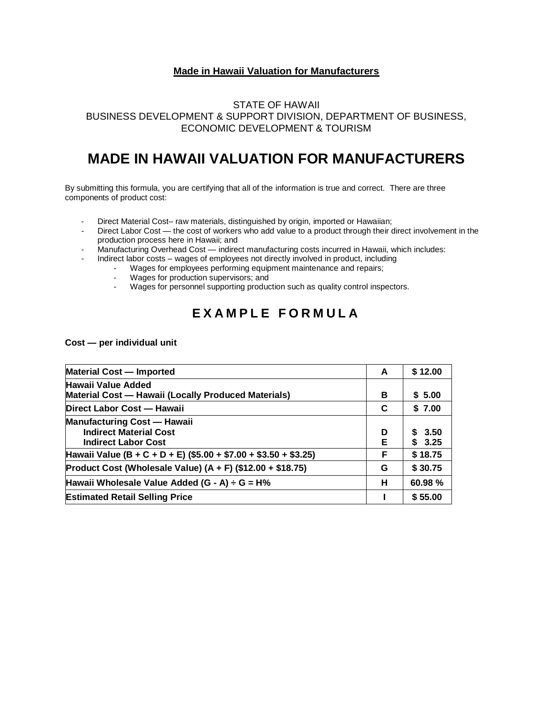#### **Made in Hawaii Valuation for Manufacturers**

### STATE OF HAWAII BUSINESS DEVELOPMENT & SUPPORT DIVISION, DEPARTMENT OF BUSINESS, ECONOMIC DEVELOPMENT & TOURISM

## **MADE IN HAWAII VALUATION FOR MANUFACTURERS**

By submitting this formula, you are certifying that all of the information is true and correct. There are three components of product cost:

- Direct Material Cost– raw materials, distinguished by origin, imported or Hawaiian;
- Direct Labor Cost the cost of workers who add value to a product through their direct involvement in the production process here in Hawaii; and
- Manufacturing Overhead Cost indirect manufacturing costs incurred in Hawaii, which includes:
	- Indirect labor costs wages of employees not directly involved in product, including
		- Wages for employees performing equipment maintenance and repairs;
		- Wages for production supervisors; and
		- Wages for personnel supporting production such as quality control inspectors.

## **E X A M P L E F O R M U L A**

**Cost — per individual unit**

| <b>Material Cost - Imported</b>                                                                   | A      | \$12.00          |
|---------------------------------------------------------------------------------------------------|--------|------------------|
| Hawaii Value Added<br>Material Cost - Hawaii (Locally Produced Materials)                         | в      | \$5.00           |
| Direct Labor Cost - Hawaii                                                                        | C      | \$7.00           |
| <b>Manufacturing Cost - Hawaii</b><br><b>Indirect Material Cost</b><br><b>Indirect Labor Cost</b> | D<br>Е | \$3.50<br>\$3.25 |
| Hawaii Value (B + C + D + E) (\$5.00 + \$7.00 + \$3.50 + \$3.25)                                  | F.     | \$18.75          |
| Product Cost (Wholesale Value) $(A + F)$ (\$12.00 + \$18.75)                                      | G      | \$30.75          |
| Hawaii Wholesale Value Added $(G - A) \div G = H\%$                                               | н      | 60.98 %          |
| <b>Estimated Retail Selling Price</b>                                                             |        | \$55.00          |